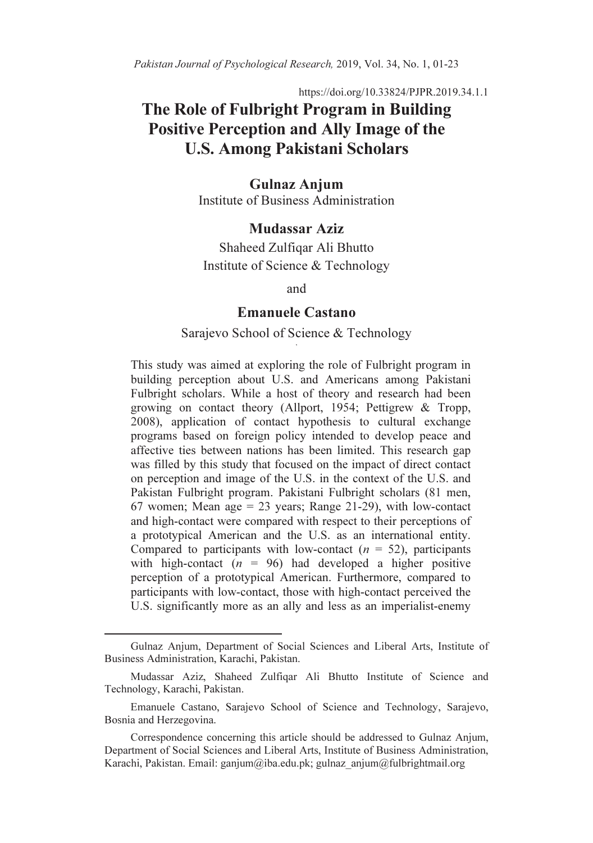https://doi.org/10.33824/PJPR.2019.34.1.1

# The Role of Fulbright Program in Building Positive Perception and Ally Image of the U.S. Among Pakistani Scholars

#### Gulnaz Anjum Institute of Business Administration

# Mudassar Aziz

Shaheed Zulfiqar Ali Bhutto Institute of Science & Technology

and

#### Emanuele Castano

#### Sarajevo School of Science & Technology ,

This study was aimed at exploring the role of Fulbright program in building perception about U.S. and Americans among Pakistani Fulbright scholars. While a host of theory and research had been growing on contact theory (Allport, 1954; Pettigrew & Tropp, 2008), application of contact hypothesis to cultural exchange programs based on foreign policy intended to develop peace and affective ties between nations has been limited. This research gap was filled by this study that focused on the impact of direct contact on perception and image of the U.S. in the context of the U.S. and Pakistan Fulbright program. Pakistani Fulbright scholars (81 men, 67 women; Mean age  $= 23$  years; Range 21-29), with low-contact and high-contact were compared with respect to their perceptions of a prototypical American and the U.S. as an international entity. Compared to participants with low-contact  $(n = 52)$ , participants with high-contact ( $n = 96$ ) had developed a higher positive perception of a prototypical American. Furthermore, compared to participants with low-contact, those with high-contact perceived the U.S. significantly more as an ally and less as an imperialist-enemy

 $\overline{a}$ 

Gulnaz Anjum, Department of Social Sciences and Liberal Arts, Institute of Business Administration, Karachi, Pakistan.

Mudassar Aziz, Shaheed Zulfiqar Ali Bhutto Institute of Science and Technology, Karachi, Pakistan.

Emanuele Castano, Sarajevo School of Science and Technology, Sarajevo, Bosnia and Herzegovina.

Correspondence concerning this article should be addressed to Gulnaz Anjum, Department of Social Sciences and Liberal Arts, Institute of Business Administration, Karachi, Pakistan. Email: ganjum@iba.edu.pk; gulnaz\_anjum@fulbrightmail.org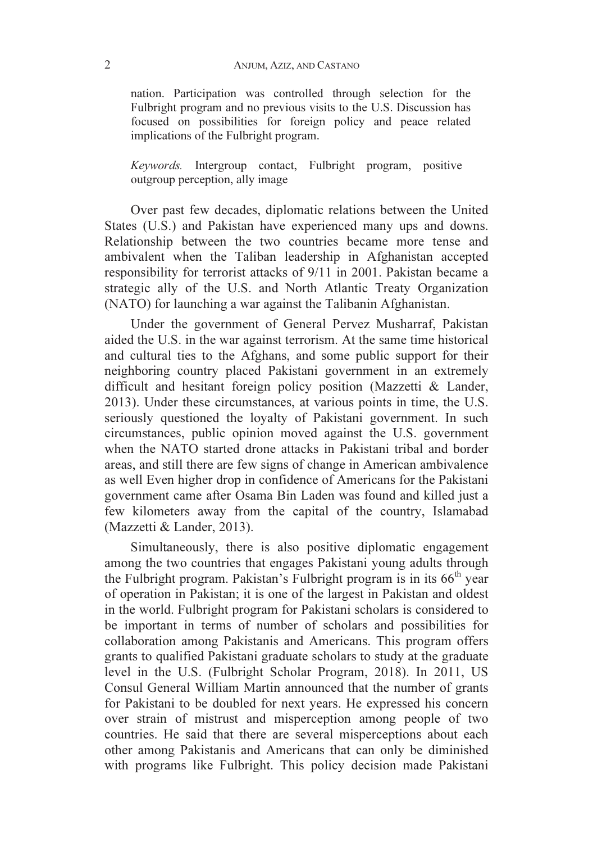nation. Participation was controlled through selection for the Fulbright program and no previous visits to the U.S. Discussion has focused on possibilities for foreign policy and peace related implications of the Fulbright program.

Keywords. Intergroup contact, Fulbright program, positive outgroup perception, ally image

Over past few decades, diplomatic relations between the United States (U.S.) and Pakistan have experienced many ups and downs. Relationship between the two countries became more tense and ambivalent when the Taliban leadership in Afghanistan accepted responsibility for terrorist attacks of 9/11 in 2001. Pakistan became a strategic ally of the U.S. and North Atlantic Treaty Organization (NATO) for launching a war against the Talibanin Afghanistan.

Under the government of General Pervez Musharraf, Pakistan aided the U.S. in the war against terrorism. At the same time historical and cultural ties to the Afghans, and some public support for their neighboring country placed Pakistani government in an extremely difficult and hesitant foreign policy position (Mazzetti & Lander, 2013). Under these circumstances, at various points in time, the U.S. seriously questioned the loyalty of Pakistani government. In such circumstances, public opinion moved against the U.S. government when the NATO started drone attacks in Pakistani tribal and border areas, and still there are few signs of change in American ambivalence as well Even higher drop in confidence of Americans for the Pakistani government came after Osama Bin Laden was found and killed just a few kilometers away from the capital of the country, Islamabad (Mazzetti & Lander, 2013).

Simultaneously, there is also positive diplomatic engagement among the two countries that engages Pakistani young adults through the Fulbright program. Pakistan's Fulbright program is in its  $66<sup>th</sup>$  year of operation in Pakistan; it is one of the largest in Pakistan and oldest in the world. Fulbright program for Pakistani scholars is considered to be important in terms of number of scholars and possibilities for collaboration among Pakistanis and Americans. This program offers grants to qualified Pakistani graduate scholars to study at the graduate level in the U.S. (Fulbright Scholar Program, 2018). In 2011, US Consul General William Martin announced that the number of grants for Pakistani to be doubled for next years. He expressed his concern over strain of mistrust and misperception among people of two countries. He said that there are several misperceptions about each other among Pakistanis and Americans that can only be diminished with programs like Fulbright. This policy decision made Pakistani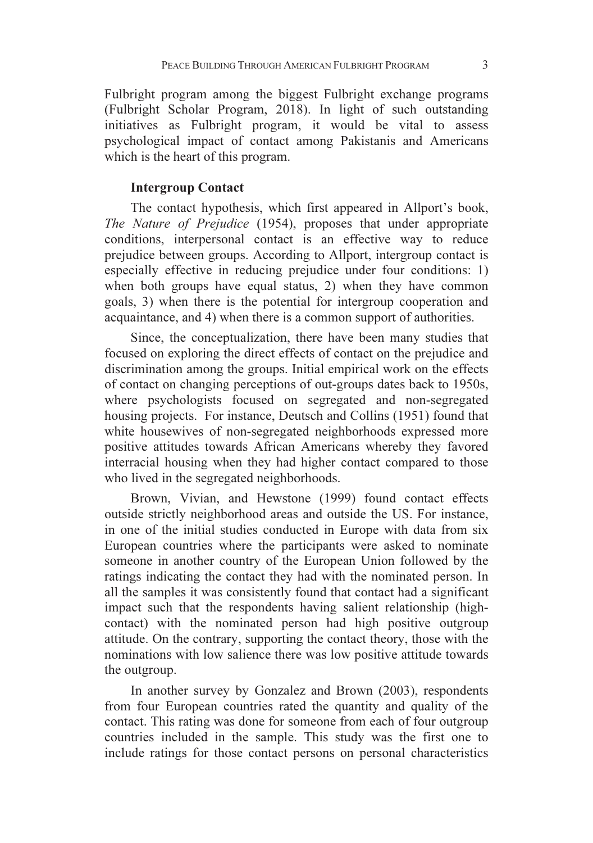Fulbright program among the biggest Fulbright exchange programs (Fulbright Scholar Program, 2018). In light of such outstanding initiatives as Fulbright program, it would be vital to assess psychological impact of contact among Pakistanis and Americans which is the heart of this program.

#### Intergroup Contact

The contact hypothesis, which first appeared in Allport's book, The Nature of Prejudice (1954), proposes that under appropriate conditions, interpersonal contact is an effective way to reduce prejudice between groups. According to Allport, intergroup contact is especially effective in reducing prejudice under four conditions: 1) when both groups have equal status, 2) when they have common goals, 3) when there is the potential for intergroup cooperation and acquaintance, and 4) when there is a common support of authorities.

Since, the conceptualization, there have been many studies that focused on exploring the direct effects of contact on the prejudice and discrimination among the groups. Initial empirical work on the effects of contact on changing perceptions of out-groups dates back to 1950s, where psychologists focused on segregated and non-segregated housing projects. For instance, Deutsch and Collins (1951) found that white housewives of non-segregated neighborhoods expressed more positive attitudes towards African Americans whereby they favored interracial housing when they had higher contact compared to those who lived in the segregated neighborhoods.

Brown, Vivian, and Hewstone (1999) found contact effects outside strictly neighborhood areas and outside the US. For instance, in one of the initial studies conducted in Europe with data from six European countries where the participants were asked to nominate someone in another country of the European Union followed by the ratings indicating the contact they had with the nominated person. In all the samples it was consistently found that contact had a significant impact such that the respondents having salient relationship (highcontact) with the nominated person had high positive outgroup attitude. On the contrary, supporting the contact theory, those with the nominations with low salience there was low positive attitude towards the outgroup.

In another survey by Gonzalez and Brown (2003), respondents from four European countries rated the quantity and quality of the contact. This rating was done for someone from each of four outgroup countries included in the sample. This study was the first one to include ratings for those contact persons on personal characteristics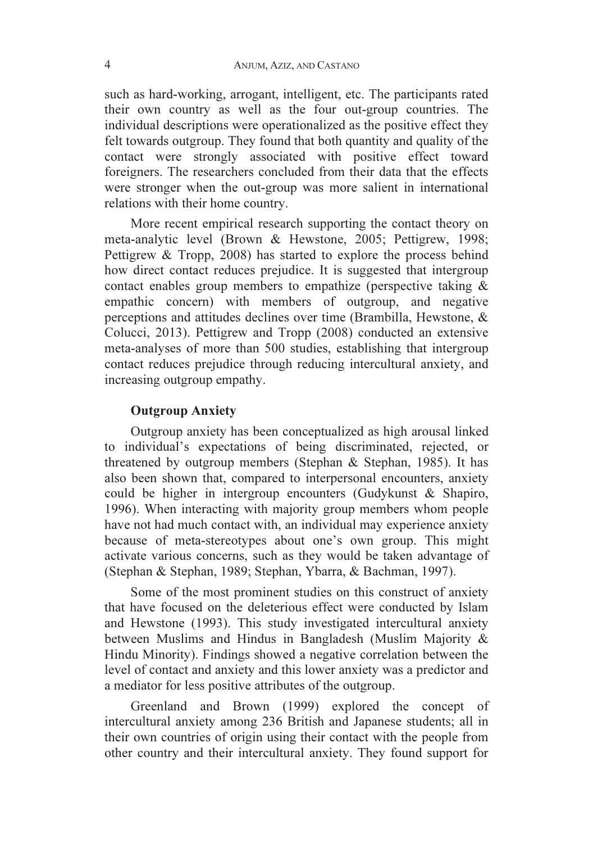such as hard-working, arrogant, intelligent, etc. The participants rated their own country as well as the four out-group countries. The individual descriptions were operationalized as the positive effect they felt towards outgroup. They found that both quantity and quality of the contact were strongly associated with positive effect toward foreigners. The researchers concluded from their data that the effects were stronger when the out-group was more salient in international relations with their home country.

More recent empirical research supporting the contact theory on meta-analytic level (Brown & Hewstone, 2005; Pettigrew, 1998; Pettigrew & Tropp, 2008) has started to explore the process behind how direct contact reduces prejudice. It is suggested that intergroup contact enables group members to empathize (perspective taking & empathic concern) with members of outgroup, and negative perceptions and attitudes declines over time (Brambilla, Hewstone, & Colucci, 2013). Pettigrew and Tropp (2008) conducted an extensive meta-analyses of more than 500 studies, establishing that intergroup contact reduces prejudice through reducing intercultural anxiety, and increasing outgroup empathy.

# Outgroup Anxiety

Outgroup anxiety has been conceptualized as high arousal linked to individual's expectations of being discriminated, rejected, or threatened by outgroup members (Stephan & Stephan, 1985). It has also been shown that, compared to interpersonal encounters, anxiety could be higher in intergroup encounters (Gudykunst & Shapiro, 1996). When interacting with majority group members whom people have not had much contact with, an individual may experience anxiety because of meta-stereotypes about one's own group. This might activate various concerns, such as they would be taken advantage of (Stephan & Stephan, 1989; Stephan, Ybarra, & Bachman, 1997).

Some of the most prominent studies on this construct of anxiety that have focused on the deleterious effect were conducted by Islam and Hewstone (1993). This study investigated intercultural anxiety between Muslims and Hindus in Bangladesh (Muslim Majority & Hindu Minority). Findings showed a negative correlation between the level of contact and anxiety and this lower anxiety was a predictor and a mediator for less positive attributes of the outgroup.

Greenland and Brown (1999) explored the concept of intercultural anxiety among 236 British and Japanese students; all in their own countries of origin using their contact with the people from other country and their intercultural anxiety. They found support for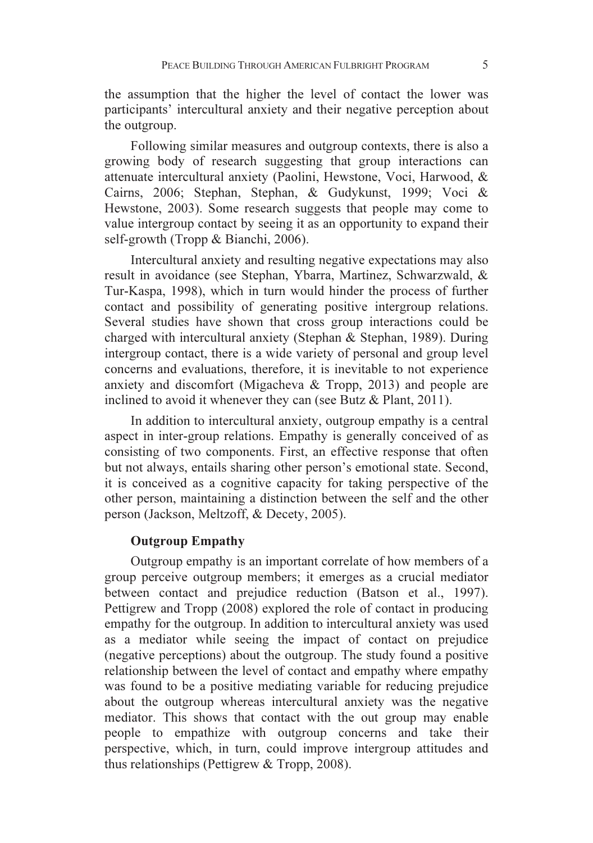the assumption that the higher the level of contact the lower was participants' intercultural anxiety and their negative perception about the outgroup.

Following similar measures and outgroup contexts, there is also a growing body of research suggesting that group interactions can attenuate intercultural anxiety (Paolini, Hewstone, Voci, Harwood, & Cairns, 2006; Stephan, Stephan, & Gudykunst, 1999; Voci & Hewstone, 2003). Some research suggests that people may come to value intergroup contact by seeing it as an opportunity to expand their self-growth (Tropp & Bianchi, 2006).

Intercultural anxiety and resulting negative expectations may also result in avoidance (see Stephan, Ybarra, Martinez, Schwarzwald, & Tur-Kaspa, 1998), which in turn would hinder the process of further contact and possibility of generating positive intergroup relations. Several studies have shown that cross group interactions could be charged with intercultural anxiety (Stephan & Stephan, 1989). During intergroup contact, there is a wide variety of personal and group level concerns and evaluations, therefore, it is inevitable to not experience anxiety and discomfort (Migacheva & Tropp, 2013) and people are inclined to avoid it whenever they can (see Butz & Plant, 2011).

In addition to intercultural anxiety, outgroup empathy is a central aspect in inter-group relations. Empathy is generally conceived of as consisting of two components. First, an effective response that often but not always, entails sharing other person's emotional state. Second, it is conceived as a cognitive capacity for taking perspective of the other person, maintaining a distinction between the self and the other person (Jackson, Meltzoff, & Decety, 2005).

# Outgroup Empathy

Outgroup empathy is an important correlate of how members of a group perceive outgroup members; it emerges as a crucial mediator between contact and prejudice reduction (Batson et al., 1997). Pettigrew and Tropp (2008) explored the role of contact in producing empathy for the outgroup. In addition to intercultural anxiety was used as a mediator while seeing the impact of contact on prejudice (negative perceptions) about the outgroup. The study found a positive relationship between the level of contact and empathy where empathy was found to be a positive mediating variable for reducing prejudice about the outgroup whereas intercultural anxiety was the negative mediator. This shows that contact with the out group may enable people to empathize with outgroup concerns and take their perspective, which, in turn, could improve intergroup attitudes and thus relationships (Pettigrew & Tropp, 2008).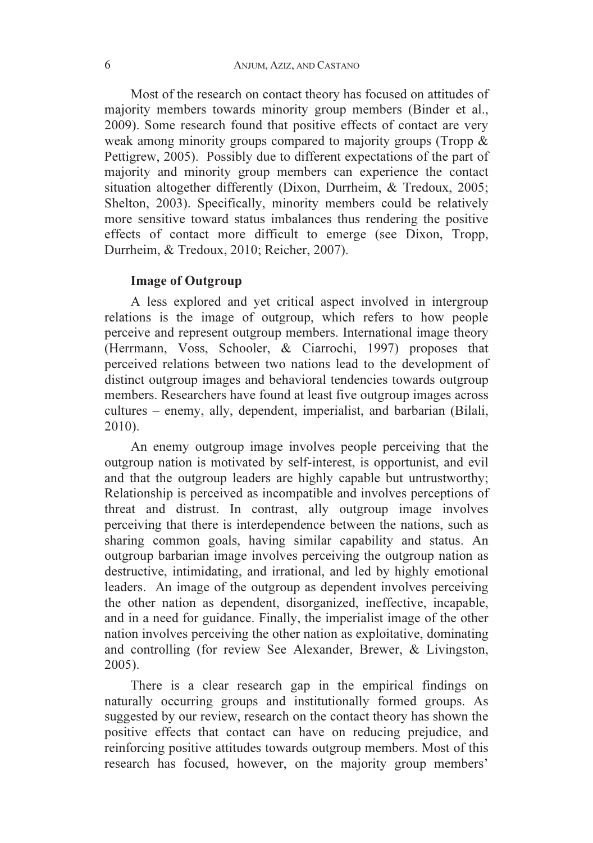Most of the research on contact theory has focused on attitudes of majority members towards minority group members (Binder et al., 2009). Some research found that positive effects of contact are very weak among minority groups compared to majority groups (Tropp & Pettigrew, 2005). Possibly due to different expectations of the part of majority and minority group members can experience the contact situation altogether differently (Dixon, Durrheim, & Tredoux, 2005; Shelton, 2003). Specifically, minority members could be relatively more sensitive toward status imbalances thus rendering the positive effects of contact more difficult to emerge (see Dixon, Tropp, Durrheim, & Tredoux, 2010; Reicher, 2007).

## Image of Outgroup

A less explored and yet critical aspect involved in intergroup relations is the image of outgroup, which refers to how people perceive and represent outgroup members. International image theory (Herrmann, Voss, Schooler, & Ciarrochi, 1997) proposes that perceived relations between two nations lead to the development of distinct outgroup images and behavioral tendencies towards outgroup members. Researchers have found at least five outgroup images across cultures – enemy, ally, dependent, imperialist, and barbarian (Bilali, 2010).

An enemy outgroup image involves people perceiving that the outgroup nation is motivated by self-interest, is opportunist, and evil and that the outgroup leaders are highly capable but untrustworthy; Relationship is perceived as incompatible and involves perceptions of threat and distrust. In contrast, ally outgroup image involves perceiving that there is interdependence between the nations, such as sharing common goals, having similar capability and status. An outgroup barbarian image involves perceiving the outgroup nation as destructive, intimidating, and irrational, and led by highly emotional leaders. An image of the outgroup as dependent involves perceiving the other nation as dependent, disorganized, ineffective, incapable, and in a need for guidance. Finally, the imperialist image of the other nation involves perceiving the other nation as exploitative, dominating and controlling (for review See Alexander, Brewer, & Livingston, 2005).

There is a clear research gap in the empirical findings on naturally occurring groups and institutionally formed groups. As suggested by our review, research on the contact theory has shown the positive effects that contact can have on reducing prejudice, and reinforcing positive attitudes towards outgroup members. Most of this research has focused, however, on the majority group members'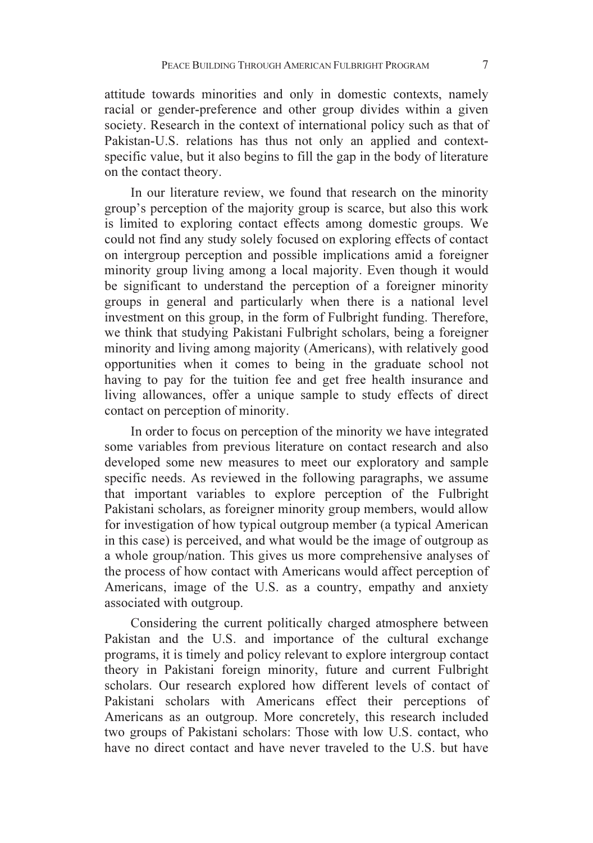attitude towards minorities and only in domestic contexts, namely racial or gender-preference and other group divides within a given society. Research in the context of international policy such as that of Pakistan-U.S. relations has thus not only an applied and contextspecific value, but it also begins to fill the gap in the body of literature on the contact theory.

In our literature review, we found that research on the minority group's perception of the majority group is scarce, but also this work is limited to exploring contact effects among domestic groups. We could not find any study solely focused on exploring effects of contact on intergroup perception and possible implications amid a foreigner minority group living among a local majority. Even though it would be significant to understand the perception of a foreigner minority groups in general and particularly when there is a national level investment on this group, in the form of Fulbright funding. Therefore, we think that studying Pakistani Fulbright scholars, being a foreigner minority and living among majority (Americans), with relatively good opportunities when it comes to being in the graduate school not having to pay for the tuition fee and get free health insurance and living allowances, offer a unique sample to study effects of direct contact on perception of minority.

In order to focus on perception of the minority we have integrated some variables from previous literature on contact research and also developed some new measures to meet our exploratory and sample specific needs. As reviewed in the following paragraphs, we assume that important variables to explore perception of the Fulbright Pakistani scholars, as foreigner minority group members, would allow for investigation of how typical outgroup member (a typical American in this case) is perceived, and what would be the image of outgroup as a whole group/nation. This gives us more comprehensive analyses of the process of how contact with Americans would affect perception of Americans, image of the U.S. as a country, empathy and anxiety associated with outgroup.

Considering the current politically charged atmosphere between Pakistan and the U.S. and importance of the cultural exchange programs, it is timely and policy relevant to explore intergroup contact theory in Pakistani foreign minority, future and current Fulbright scholars. Our research explored how different levels of contact of Pakistani scholars with Americans effect their perceptions of Americans as an outgroup. More concretely, this research included two groups of Pakistani scholars: Those with low U.S. contact, who have no direct contact and have never traveled to the U.S. but have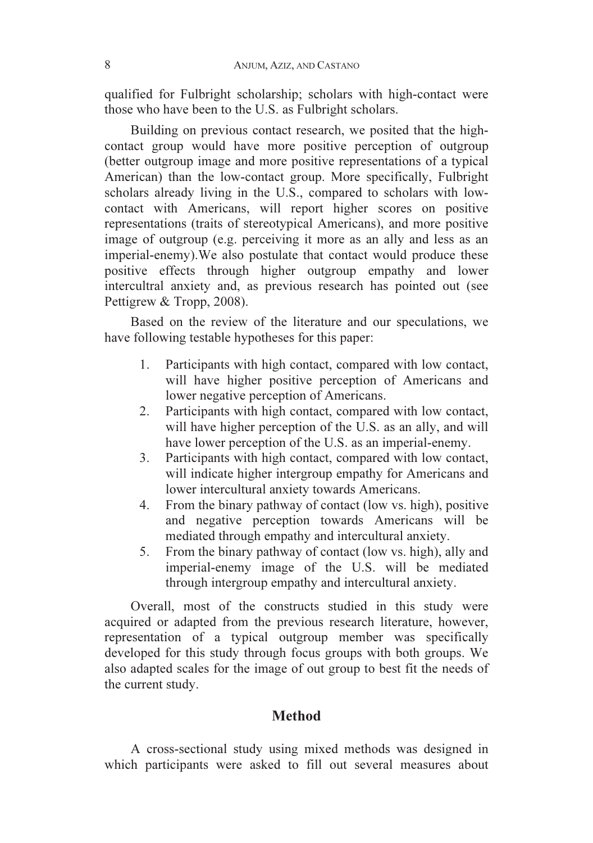qualified for Fulbright scholarship; scholars with high-contact were those who have been to the U.S. as Fulbright scholars.

Building on previous contact research, we posited that the highcontact group would have more positive perception of outgroup (better outgroup image and more positive representations of a typical American) than the low-contact group. More specifically, Fulbright scholars already living in the U.S., compared to scholars with lowcontact with Americans, will report higher scores on positive representations (traits of stereotypical Americans), and more positive image of outgroup (e.g. perceiving it more as an ally and less as an imperial-enemy).We also postulate that contact would produce these positive effects through higher outgroup empathy and lower intercultral anxiety and, as previous research has pointed out (see Pettigrew & Tropp, 2008).

Based on the review of the literature and our speculations, we have following testable hypotheses for this paper:

- 1. Participants with high contact, compared with low contact, will have higher positive perception of Americans and lower negative perception of Americans.
- 2. Participants with high contact, compared with low contact, will have higher perception of the U.S. as an ally, and will have lower perception of the U.S. as an imperial-enemy.
- 3. Participants with high contact, compared with low contact, will indicate higher intergroup empathy for Americans and lower intercultural anxiety towards Americans.
- 4. From the binary pathway of contact (low vs. high), positive and negative perception towards Americans will be mediated through empathy and intercultural anxiety.
- 5. From the binary pathway of contact (low vs. high), ally and imperial-enemy image of the U.S. will be mediated through intergroup empathy and intercultural anxiety.

Overall, most of the constructs studied in this study were acquired or adapted from the previous research literature, however, representation of a typical outgroup member was specifically developed for this study through focus groups with both groups. We also adapted scales for the image of out group to best fit the needs of the current study.

# **Method**

A cross-sectional study using mixed methods was designed in which participants were asked to fill out several measures about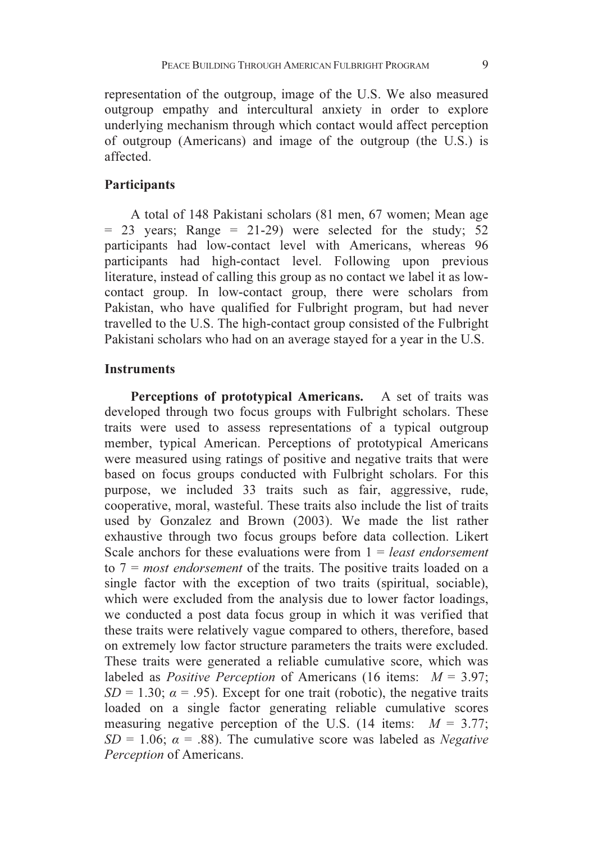representation of the outgroup, image of the U.S. We also measured outgroup empathy and intercultural anxiety in order to explore underlying mechanism through which contact would affect perception of outgroup (Americans) and image of the outgroup (the U.S.) is affected.

### **Participants**

A total of 148 Pakistani scholars (81 men, 67 women; Mean age  $= 23$  years; Range  $= 21-29$ ) were selected for the study; 52 participants had low-contact level with Americans, whereas 96 participants had high-contact level. Following upon previous literature, instead of calling this group as no contact we label it as lowcontact group. In low-contact group, there were scholars from Pakistan, who have qualified for Fulbright program, but had never travelled to the U.S. The high-contact group consisted of the Fulbright Pakistani scholars who had on an average stayed for a year in the U.S.

#### **Instruments**

Perceptions of prototypical Americans. A set of traits was developed through two focus groups with Fulbright scholars. These traits were used to assess representations of a typical outgroup member, typical American. Perceptions of prototypical Americans were measured using ratings of positive and negative traits that were based on focus groups conducted with Fulbright scholars. For this purpose, we included 33 traits such as fair, aggressive, rude, cooperative, moral, wasteful. These traits also include the list of traits used by Gonzalez and Brown (2003). We made the list rather exhaustive through two focus groups before data collection. Likert Scale anchors for these evaluations were from  $1 = least endor$ to  $7 = most endorsement$  of the traits. The positive traits loaded on a single factor with the exception of two traits (spiritual, sociable), which were excluded from the analysis due to lower factor loadings, we conducted a post data focus group in which it was verified that these traits were relatively vague compared to others, therefore, based on extremely low factor structure parameters the traits were excluded. These traits were generated a reliable cumulative score, which was labeled as *Positive Perception* of Americans (16 items:  $M = 3.97$ ;  $SD = 1.30$ ;  $\alpha = .95$ ). Except for one trait (robotic), the negative traits loaded on a single factor generating reliable cumulative scores measuring negative perception of the U.S. (14 items:  $M = 3.77$ ;  $SD = 1.06$ ;  $\alpha = .88$ ). The cumulative score was labeled as *Negative* Perception of Americans.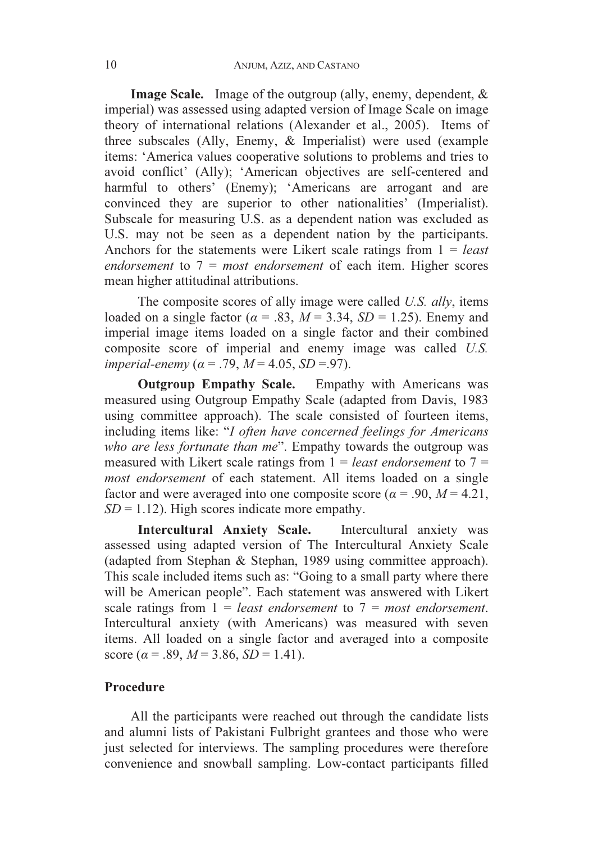Image Scale. Image of the outgroup (ally, enemy, dependent, & imperial) was assessed using adapted version of Image Scale on image theory of international relations (Alexander et al., 2005). Items of three subscales (Ally, Enemy, & Imperialist) were used (example items: 'America values cooperative solutions to problems and tries to avoid conflict' (Ally); 'American objectives are self-centered and harmful to others' (Enemy): 'Americans are arrogant and are convinced they are superior to other nationalities' (Imperialist). Subscale for measuring U.S. as a dependent nation was excluded as U.S. may not be seen as a dependent nation by the participants. Anchors for the statements were Likert scale ratings from  $1 = least$ endorsement to  $7 = most endorsement$  of each item. Higher scores mean higher attitudinal attributions.

The composite scores of ally image were called U.S. ally, items loaded on a single factor ( $\alpha = .83$ ,  $M = 3.34$ ,  $SD = 1.25$ ). Enemy and imperial image items loaded on a single factor and their combined composite score of imperial and enemy image was called U.S. imperial-enemy ( $\alpha$  = .79,  $M$  = 4.05,  $SD$  = .97).

 Outgroup Empathy Scale. Empathy with Americans was measured using Outgroup Empathy Scale (adapted from Davis, 1983 using committee approach). The scale consisted of fourteen items, including items like: "I often have concerned feelings for Americans who are less fortunate than me". Empathy towards the outgroup was measured with Likert scale ratings from  $1 = least$  endorsement to  $7 =$ most endorsement of each statement. All items loaded on a single factor and were averaged into one composite score ( $\alpha$  = .90,  $M$  = 4.21,  $SD = 1.12$ ). High scores indicate more empathy.

 Intercultural Anxiety Scale. Intercultural anxiety was assessed using adapted version of The Intercultural Anxiety Scale (adapted from Stephan & Stephan, 1989 using committee approach). This scale included items such as: "Going to a small party where there will be American people". Each statement was answered with Likert scale ratings from  $1 =$  least endorsement to  $7 =$  most endorsement. Intercultural anxiety (with Americans) was measured with seven items. All loaded on a single factor and averaged into a composite score ( $\alpha$  = .89,  $M$  = 3.86,  $SD$  = 1.41).

# Procedure

All the participants were reached out through the candidate lists and alumni lists of Pakistani Fulbright grantees and those who were just selected for interviews. The sampling procedures were therefore convenience and snowball sampling. Low-contact participants filled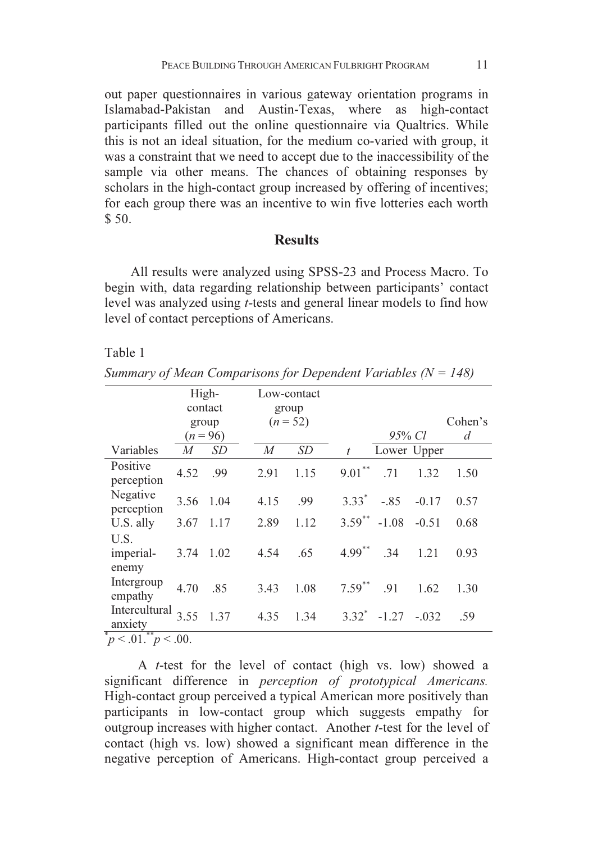out paper questionnaires in various gateway orientation programs in Islamabad-Pakistan and Austin-Texas, where as high-contact participants filled out the online questionnaire via Qualtrics. While this is not an ideal situation, for the medium co-varied with group, it was a constraint that we need to accept due to the inaccessibility of the sample via other means. The chances of obtaining responses by scholars in the high-contact group increased by offering of incentives; for each group there was an incentive to win five lotteries each worth  $$50.$ 

## **Results**

All results were analyzed using SPSS-23 and Process Macro. To begin with, data regarding relationship between participants' contact level was analyzed using t-tests and general linear models to find how level of contact perceptions of Americans.

#### Table 1

Summary of Mean Comparisons for Dependent Variables  $(N = 148)$ 

|                                 | High-          |           | Low-contact      |           |                  |                |         |         |
|---------------------------------|----------------|-----------|------------------|-----------|------------------|----------------|---------|---------|
|                                 | contact        |           | group            |           |                  |                |         |         |
|                                 | group          |           | $(n=52)$         |           |                  |                |         | Cohen's |
|                                 | $(n = 96)$     |           |                  |           |                  | 95% Cl         |         | d       |
| Variables                       | $\overline{M}$ | <b>SD</b> | $\boldsymbol{M}$ | <b>SD</b> | $\boldsymbol{t}$ | Lower Upper    |         |         |
| Positive<br>perception          | 4.52           | .99       | 2.91             | 1.15      | $9.01***$        | .71            | 1.32    | 1.50    |
| Negative<br>perception          | 3.56           | 1.04      | 4.15             | .99       | $3.33^*$         | $-.85$         | $-0.17$ | 0.57    |
| U.S. ally                       | 3.67           | 1.17      | 2.89             | 1.12      | $3.59$ **        | $-1.08$        | $-0.51$ | 0.68    |
| U.S.<br>imperial-<br>enemy      | 3.74           | 1.02      | 4.54             | .65       | $4.99***$        | .34            | 1.21    | 0.93    |
| Intergroup<br>empathy           | 4.70           | .85       | 3.43             | 1.08      | $7.59^{**}$      | .91            | 1.62    | 1.30    |
| Intercultural $3.55$<br>anxiety |                | 1.37      | 4.35             | 1.34      |                  | $3.32^* -1.27$ | $-.032$ | .59     |
| ¥<br>$m^*$ $\sim 00$<br>n < 01  |                |           |                  |           |                  |                |         |         |

 $p < 0.01$ .  $p < 0.00$ .

 A t-test for the level of contact (high vs. low) showed a significant difference in perception of prototypical Americans. High-contact group perceived a typical American more positively than participants in low-contact group which suggests empathy for outgroup increases with higher contact. Another t-test for the level of contact (high vs. low) showed a significant mean difference in the negative perception of Americans. High-contact group perceived a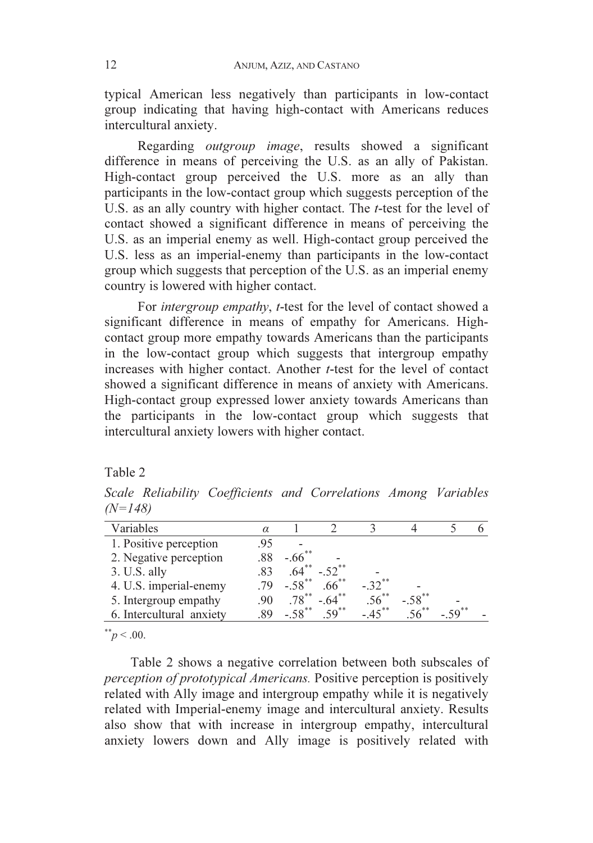typical American less negatively than participants in low-contact group indicating that having high-contact with Americans reduces intercultural anxiety.

 Regarding outgroup image, results showed a significant difference in means of perceiving the U.S. as an ally of Pakistan. High-contact group perceived the U.S. more as an ally than participants in the low-contact group which suggests perception of the U.S. as an ally country with higher contact. The *t*-test for the level of contact showed a significant difference in means of perceiving the U.S. as an imperial enemy as well. High-contact group perceived the U.S. less as an imperial-enemy than participants in the low-contact group which suggests that perception of the U.S. as an imperial enemy country is lowered with higher contact.

For *intergroup empathy*, *t*-test for the level of contact showed a significant difference in means of empathy for Americans. Highcontact group more empathy towards Americans than the participants in the low-contact group which suggests that intergroup empathy increases with higher contact. Another  $t$ -test for the level of contact showed a significant difference in means of anxiety with Americans. High-contact group expressed lower anxiety towards Americans than the participants in the low-contact group which suggests that intercultural anxiety lowers with higher contact.

Table 2

Scale Reliability Coefficients and Correlations Among Variables  $(N=148)$ 

| Variables                | $\alpha$ |                      |                      |                      |                      |  |
|--------------------------|----------|----------------------|----------------------|----------------------|----------------------|--|
| 1. Positive perception   | .95      |                      |                      |                      |                      |  |
| 2. Negative perception   |          | $-.66$ <sup>*</sup>  |                      |                      |                      |  |
| 3. U.S. ally             |          |                      | $-.52$ <sup>**</sup> |                      |                      |  |
| 4. U.S. imperial-enemy   | -79      | $-.58$ <sup>**</sup> | $.66***$             | $-.32$ <sup>**</sup> |                      |  |
| 5. Intergroup empathy    | .90      | $.78***$             | $-.64***$            |                      | $-.58$ <sup>**</sup> |  |
| 6. Intercultural anxiety | 89       | $-.58$ <sup>**</sup> | $50^{**}$            | $-***$               |                      |  |
|                          |          |                      |                      |                      |                      |  |

 $p^* > .00$ .

Table 2 shows a negative correlation between both subscales of perception of prototypical Americans. Positive perception is positively related with Ally image and intergroup empathy while it is negatively related with Imperial-enemy image and intercultural anxiety. Results also show that with increase in intergroup empathy, intercultural anxiety lowers down and Ally image is positively related with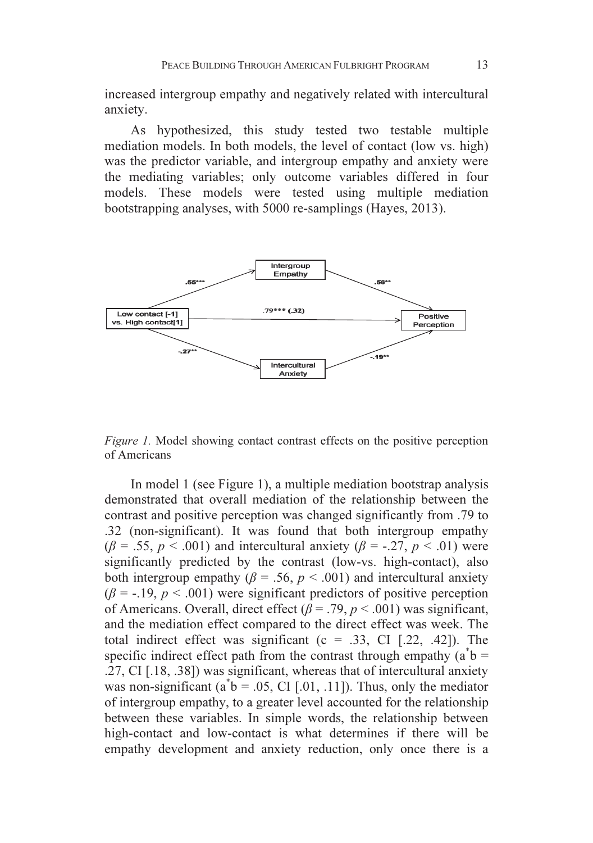increased intergroup empathy and negatively related with intercultural anxiety.

As hypothesized, this study tested two testable multiple mediation models. In both models, the level of contact (low vs. high) was the predictor variable, and intergroup empathy and anxiety were the mediating variables; only outcome variables differed in four models. These models were tested using multiple mediation bootstrapping analyses, with 5000 re-samplings (Hayes, 2013).



Figure 1. Model showing contact contrast effects on the positive perception of Americans

In model 1 (see Figure 1), a multiple mediation bootstrap analysis demonstrated that overall mediation of the relationship between the contrast and positive perception was changed significantly from .79 to .32 (non-significant). It was found that both intergroup empathy  $(\beta = .55, p < .001)$  and intercultural anxiety  $(\beta = .27, p < .01)$  were significantly predicted by the contrast (low-vs. high-contact), also both intergroup empathy ( $\beta$  = .56,  $p$  < .001) and intercultural anxiety  $(\beta = -19, p < .001)$  were significant predictors of positive perception of Americans. Overall, direct effect ( $\beta$  = .79,  $p$  < .001) was significant, and the mediation effect compared to the direct effect was week. The total indirect effect was significant  $(c = .33, CI$  [.22, .42]). The specific indirect effect path from the contrast through empathy  $(a^*b =$ .27, CI [.18, .38]) was significant, whereas that of intercultural anxiety was non-significant ( $a^{\dagger}b = .05$ , CI [.01, .11]). Thus, only the mediator of intergroup empathy, to a greater level accounted for the relationship between these variables. In simple words, the relationship between high-contact and low-contact is what determines if there will be empathy development and anxiety reduction, only once there is a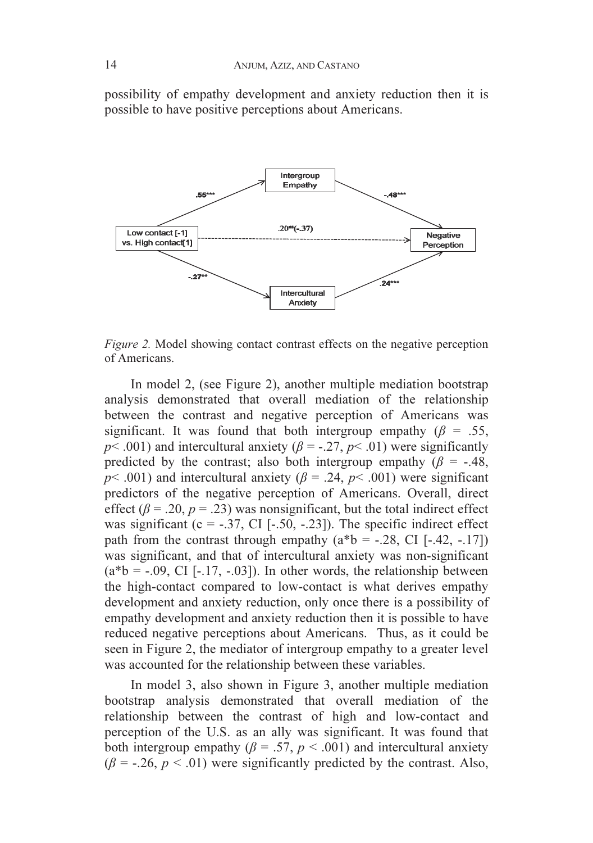possibility of empathy development and anxiety reduction then it is possible to have positive perceptions about Americans.



Figure 2. Model showing contact contrast effects on the negative perception of Americans.

In model 2, (see Figure 2), another multiple mediation bootstrap analysis demonstrated that overall mediation of the relationship between the contrast and negative perception of Americans was significant. It was found that both intergroup empathy ( $\beta = .55$ ,  $p$  < .001) and intercultural anxiety ( $\beta$  = -.27,  $p$  < .01) were significantly predicted by the contrast; also both intergroup empathy ( $\beta$  = -.48,  $p$  < .001) and intercultural anxiety ( $\beta$  = .24,  $p$  < .001) were significant predictors of the negative perception of Americans. Overall, direct effect ( $\beta$  = .20,  $p = .23$ ) was nonsignificant, but the total indirect effect was significant (c = -.37, CI [-.50, -.23]). The specific indirect effect path from the contrast through empathy  $(a * b = -.28, CI [-.42, -.17])$ was significant, and that of intercultural anxiety was non-significant  $(a * b = -.09, CI [-17, -.03])$ . In other words, the relationship between the high-contact compared to low-contact is what derives empathy development and anxiety reduction, only once there is a possibility of empathy development and anxiety reduction then it is possible to have reduced negative perceptions about Americans. Thus, as it could be seen in Figure 2, the mediator of intergroup empathy to a greater level was accounted for the relationship between these variables.

In model 3, also shown in Figure 3, another multiple mediation bootstrap analysis demonstrated that overall mediation of the relationship between the contrast of high and low-contact and perception of the U.S. as an ally was significant. It was found that both intergroup empathy ( $\beta = .57$ ,  $p < .001$ ) and intercultural anxiety  $(\beta = -0.26, p < 0.01)$  were significantly predicted by the contrast. Also,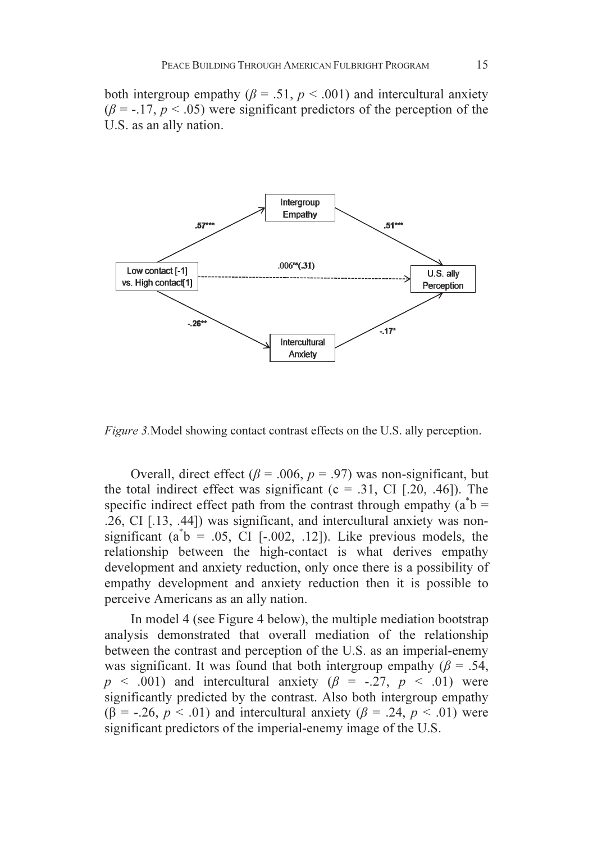both intergroup empathy ( $\beta$  = .51,  $p$  < .001) and intercultural anxiety  $(\beta = -17, p < .05)$  were significant predictors of the perception of the U.S. as an ally nation.



Figure 3.Model showing contact contrast effects on the U.S. ally perception.

Overall, direct effect ( $\beta$  = .006,  $p$  = .97) was non-significant, but the total indirect effect was significant ( $c = .31$ , CI [.20, .46]). The specific indirect effect path from the contrast through empathy  $(a^*b =$ .26, CI [.13, .44]) was significant, and intercultural anxiety was nonsignificant  $(a^{\dagger}b = .05, \space \text{CI}$  [-.002, .12]). Like previous models, the relationship between the high-contact is what derives empathy development and anxiety reduction, only once there is a possibility of empathy development and anxiety reduction then it is possible to perceive Americans as an ally nation.

In model 4 (see Figure 4 below), the multiple mediation bootstrap analysis demonstrated that overall mediation of the relationship between the contrast and perception of the U.S. as an imperial-enemy was significant. It was found that both intergroup empathy ( $\beta$  = .54,  $p \leq .001$ ) and intercultural anxiety ( $\beta = -.27, p \leq .01$ ) were significantly predicted by the contrast. Also both intergroup empathy ( $\beta$  = -.26,  $p < .01$ ) and intercultural anxiety ( $\beta$  = .24,  $p < .01$ ) were significant predictors of the imperial-enemy image of the U.S.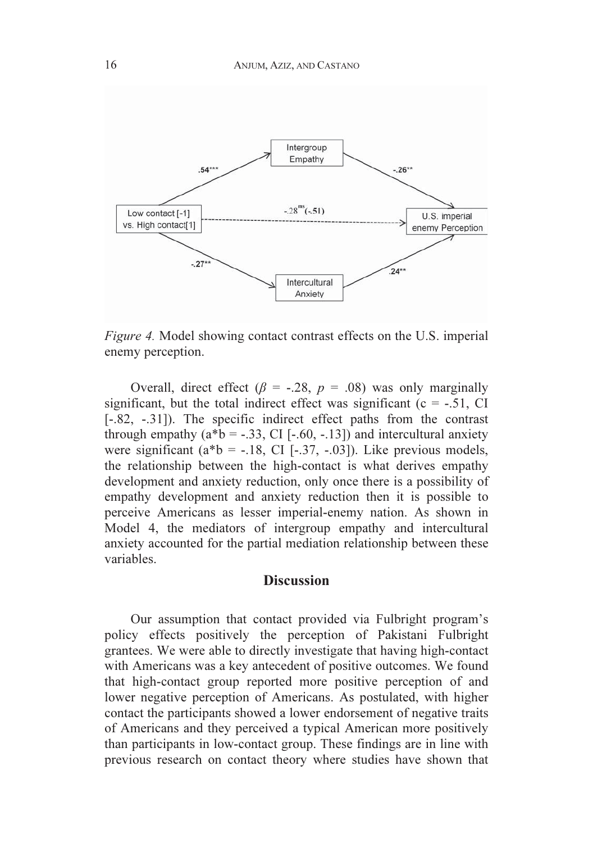

Figure 4. Model showing contact contrast effects on the U.S. imperial enemy perception.

Overall, direct effect ( $\beta$  = -.28,  $p$  = .08) was only marginally significant, but the total indirect effect was significant  $(c = -.51, CI$ [-.82, -.31]). The specific indirect effect paths from the contrast through empathy  $(a * b = -.33, CI [-.60, -.13])$  and intercultural anxiety were significant  $(a * b = -.18, CI [-.37, -.03])$ . Like previous models, the relationship between the high-contact is what derives empathy development and anxiety reduction, only once there is a possibility of empathy development and anxiety reduction then it is possible to perceive Americans as lesser imperial-enemy nation. As shown in Model 4, the mediators of intergroup empathy and intercultural anxiety accounted for the partial mediation relationship between these variables.

# **Discussion**

Our assumption that contact provided via Fulbright program's policy effects positively the perception of Pakistani Fulbright grantees. We were able to directly investigate that having high-contact with Americans was a key antecedent of positive outcomes. We found that high-contact group reported more positive perception of and lower negative perception of Americans. As postulated, with higher contact the participants showed a lower endorsement of negative traits of Americans and they perceived a typical American more positively than participants in low-contact group. These findings are in line with previous research on contact theory where studies have shown that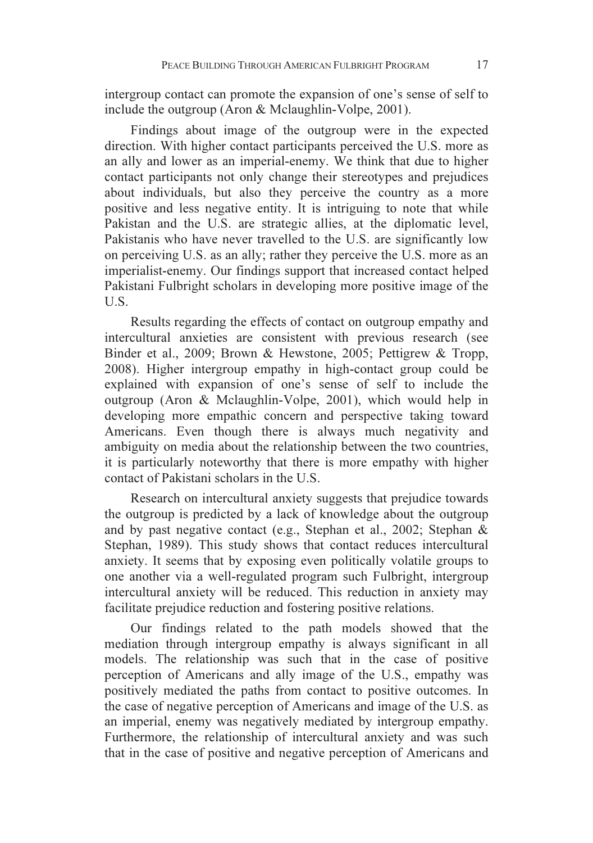intergroup contact can promote the expansion of one's sense of self to include the outgroup (Aron & Mclaughlin-Volpe, 2001).

Findings about image of the outgroup were in the expected direction. With higher contact participants perceived the U.S. more as an ally and lower as an imperial-enemy. We think that due to higher contact participants not only change their stereotypes and prejudices about individuals, but also they perceive the country as a more positive and less negative entity. It is intriguing to note that while Pakistan and the U.S. are strategic allies, at the diplomatic level, Pakistanis who have never travelled to the U.S. are significantly low on perceiving U.S. as an ally; rather they perceive the U.S. more as an imperialist-enemy. Our findings support that increased contact helped Pakistani Fulbright scholars in developing more positive image of the U.S.

Results regarding the effects of contact on outgroup empathy and intercultural anxieties are consistent with previous research (see Binder et al., 2009; Brown & Hewstone, 2005; Pettigrew & Tropp, 2008). Higher intergroup empathy in high-contact group could be explained with expansion of one's sense of self to include the outgroup (Aron & Mclaughlin-Volpe, 2001), which would help in developing more empathic concern and perspective taking toward Americans. Even though there is always much negativity and ambiguity on media about the relationship between the two countries, it is particularly noteworthy that there is more empathy with higher contact of Pakistani scholars in the U.S.

Research on intercultural anxiety suggests that prejudice towards the outgroup is predicted by a lack of knowledge about the outgroup and by past negative contact (e.g., Stephan et al., 2002; Stephan & Stephan, 1989). This study shows that contact reduces intercultural anxiety. It seems that by exposing even politically volatile groups to one another via a well-regulated program such Fulbright, intergroup intercultural anxiety will be reduced. This reduction in anxiety may facilitate prejudice reduction and fostering positive relations.

Our findings related to the path models showed that the mediation through intergroup empathy is always significant in all models. The relationship was such that in the case of positive perception of Americans and ally image of the U.S., empathy was positively mediated the paths from contact to positive outcomes. In the case of negative perception of Americans and image of the U.S. as an imperial, enemy was negatively mediated by intergroup empathy. Furthermore, the relationship of intercultural anxiety and was such that in the case of positive and negative perception of Americans and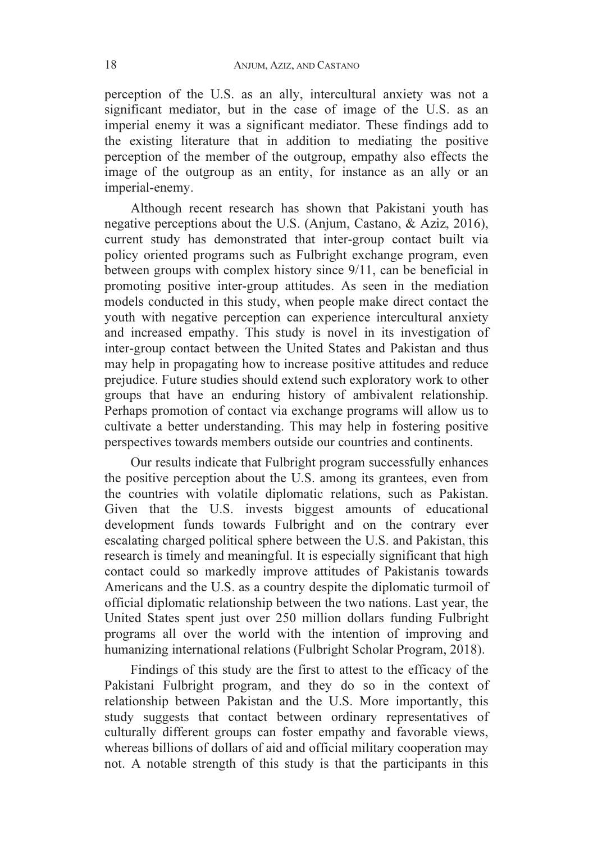perception of the U.S. as an ally, intercultural anxiety was not a significant mediator, but in the case of image of the U.S. as an imperial enemy it was a significant mediator. These findings add to the existing literature that in addition to mediating the positive perception of the member of the outgroup, empathy also effects the image of the outgroup as an entity, for instance as an ally or an imperial-enemy.

Although recent research has shown that Pakistani youth has negative perceptions about the U.S. (Anjum, Castano, & Aziz, 2016), current study has demonstrated that inter-group contact built via policy oriented programs such as Fulbright exchange program, even between groups with complex history since 9/11, can be beneficial in promoting positive inter-group attitudes. As seen in the mediation models conducted in this study, when people make direct contact the youth with negative perception can experience intercultural anxiety and increased empathy. This study is novel in its investigation of inter-group contact between the United States and Pakistan and thus may help in propagating how to increase positive attitudes and reduce prejudice. Future studies should extend such exploratory work to other groups that have an enduring history of ambivalent relationship. Perhaps promotion of contact via exchange programs will allow us to cultivate a better understanding. This may help in fostering positive perspectives towards members outside our countries and continents.

Our results indicate that Fulbright program successfully enhances the positive perception about the U.S. among its grantees, even from the countries with volatile diplomatic relations, such as Pakistan. Given that the U.S. invests biggest amounts of educational development funds towards Fulbright and on the contrary ever escalating charged political sphere between the U.S. and Pakistan, this research is timely and meaningful. It is especially significant that high contact could so markedly improve attitudes of Pakistanis towards Americans and the U.S. as a country despite the diplomatic turmoil of official diplomatic relationship between the two nations. Last year, the United States spent just over 250 million dollars funding Fulbright programs all over the world with the intention of improving and humanizing international relations (Fulbright Scholar Program, 2018).

Findings of this study are the first to attest to the efficacy of the Pakistani Fulbright program, and they do so in the context of relationship between Pakistan and the U.S. More importantly, this study suggests that contact between ordinary representatives of culturally different groups can foster empathy and favorable views, whereas billions of dollars of aid and official military cooperation may not. A notable strength of this study is that the participants in this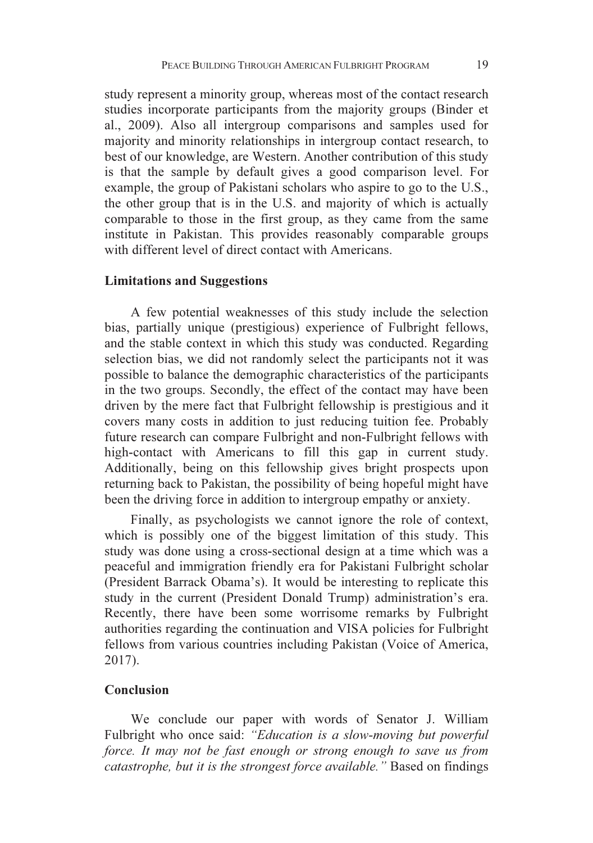study represent a minority group, whereas most of the contact research studies incorporate participants from the majority groups (Binder et al., 2009). Also all intergroup comparisons and samples used for majority and minority relationships in intergroup contact research, to best of our knowledge, are Western. Another contribution of this study is that the sample by default gives a good comparison level. For example, the group of Pakistani scholars who aspire to go to the U.S., the other group that is in the U.S. and majority of which is actually comparable to those in the first group, as they came from the same institute in Pakistan. This provides reasonably comparable groups with different level of direct contact with Americans.

#### Limitations and Suggestions

A few potential weaknesses of this study include the selection bias, partially unique (prestigious) experience of Fulbright fellows, and the stable context in which this study was conducted. Regarding selection bias, we did not randomly select the participants not it was possible to balance the demographic characteristics of the participants in the two groups. Secondly, the effect of the contact may have been driven by the mere fact that Fulbright fellowship is prestigious and it covers many costs in addition to just reducing tuition fee. Probably future research can compare Fulbright and non-Fulbright fellows with high-contact with Americans to fill this gap in current study. Additionally, being on this fellowship gives bright prospects upon returning back to Pakistan, the possibility of being hopeful might have been the driving force in addition to intergroup empathy or anxiety.

Finally, as psychologists we cannot ignore the role of context, which is possibly one of the biggest limitation of this study. This study was done using a cross-sectional design at a time which was a peaceful and immigration friendly era for Pakistani Fulbright scholar (President Barrack Obama's). It would be interesting to replicate this study in the current (President Donald Trump) administration's era. Recently, there have been some worrisome remarks by Fulbright authorities regarding the continuation and VISA policies for Fulbright fellows from various countries including Pakistan (Voice of America, 2017).

# Conclusion

We conclude our paper with words of Senator J. William Fulbright who once said: "Education is a slow-moving but powerful force. It may not be fast enough or strong enough to save us from catastrophe, but it is the strongest force available." Based on findings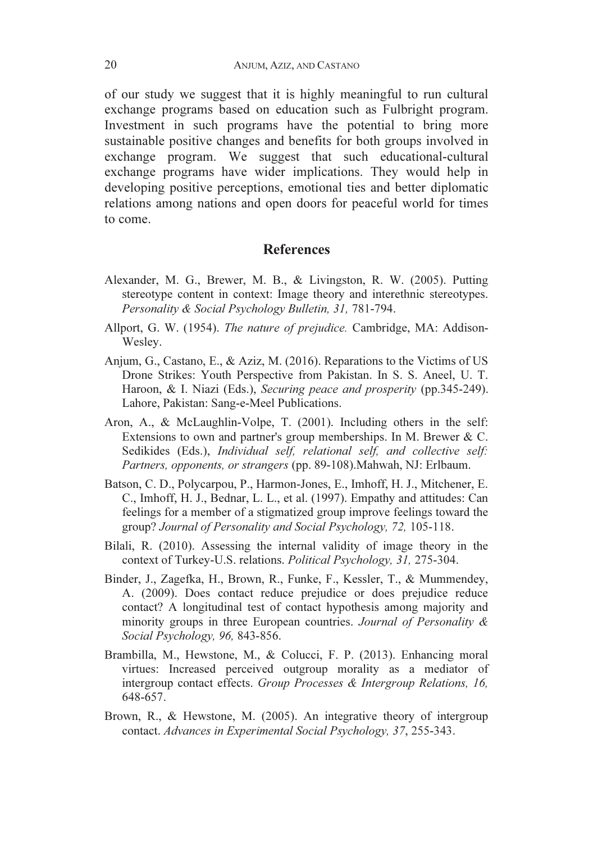of our study we suggest that it is highly meaningful to run cultural exchange programs based on education such as Fulbright program. Investment in such programs have the potential to bring more sustainable positive changes and benefits for both groups involved in exchange program. We suggest that such educational-cultural exchange programs have wider implications. They would help in developing positive perceptions, emotional ties and better diplomatic relations among nations and open doors for peaceful world for times to come.

# References

- Alexander, M. G., Brewer, M. B., & Livingston, R. W. (2005). Putting stereotype content in context: Image theory and interethnic stereotypes. Personality & Social Psychology Bulletin, 31, 781-794.
- Allport, G. W. (1954). The nature of prejudice. Cambridge, MA: Addison-Wesley.
- Anjum, G., Castano, E., & Aziz, M. (2016). Reparations to the Victims of US Drone Strikes: Youth Perspective from Pakistan. In S. S. Aneel, U. T. Haroon, & I. Niazi (Eds.), Securing peace and prosperity (pp.345-249). Lahore, Pakistan: Sang-e-Meel Publications.
- Aron, A., & McLaughlin-Volpe, T. (2001). Including others in the self: Extensions to own and partner's group memberships. In M. Brewer & C. Sedikides (Eds.), Individual self, relational self, and collective self: Partners, opponents, or strangers (pp. 89-108).Mahwah, NJ: Erlbaum.
- Batson, C. D., Polycarpou, P., Harmon-Jones, E., Imhoff, H. J., Mitchener, E. C., Imhoff, H. J., Bednar, L. L., et al. (1997). Empathy and attitudes: Can feelings for a member of a stigmatized group improve feelings toward the group? Journal of Personality and Social Psychology, 72, 105-118.
- Bilali, R. (2010). Assessing the internal validity of image theory in the context of Turkey-U.S. relations. Political Psychology, 31, 275-304.
- Binder, J., Zagefka, H., Brown, R., Funke, F., Kessler, T., & Mummendey, A. (2009). Does contact reduce prejudice or does prejudice reduce contact? A longitudinal test of contact hypothesis among majority and minority groups in three European countries. Journal of Personality & Social Psychology, 96, 843-856.
- Brambilla, M., Hewstone, M., & Colucci, F. P. (2013). Enhancing moral virtues: Increased perceived outgroup morality as a mediator of intergroup contact effects. Group Processes & Intergroup Relations, 16, 648-657.
- Brown, R., & Hewstone, M. (2005). An integrative theory of intergroup contact. Advances in Experimental Social Psychology, 37, 255-343.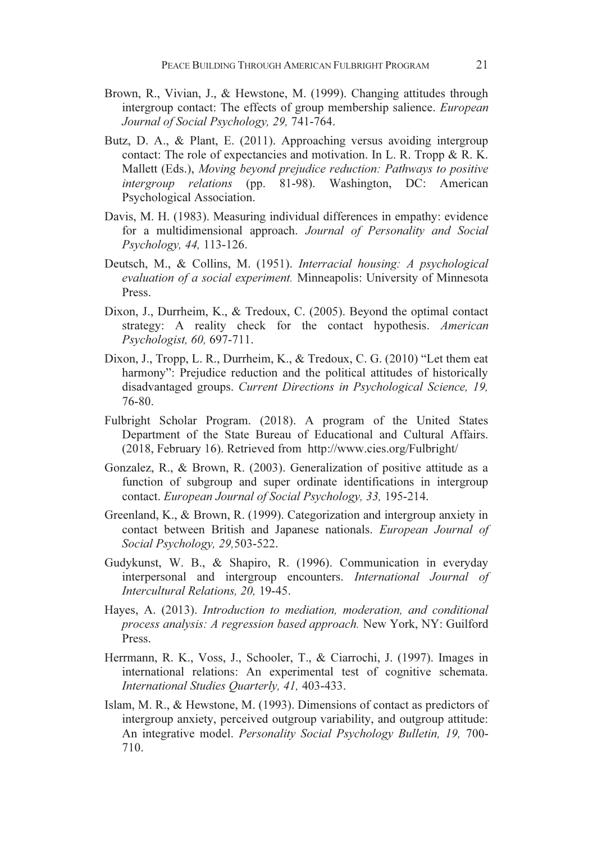- Brown, R., Vivian, J., & Hewstone, M. (1999). Changing attitudes through intergroup contact: The effects of group membership salience. European Journal of Social Psychology, 29, 741-764.
- Butz, D. A., & Plant, E. (2011). Approaching versus avoiding intergroup contact: The role of expectancies and motivation. In L. R. Tropp & R. K. Mallett (Eds.), Moving beyond prejudice reduction: Pathways to positive intergroup relations (pp. 81-98). Washington, DC: American Psychological Association.
- Davis, M. H. (1983). Measuring individual differences in empathy: evidence for a multidimensional approach. Journal of Personality and Social Psychology, 44, 113-126.
- Deutsch, M., & Collins, M. (1951). Interracial housing: A psychological evaluation of a social experiment. Minneapolis: University of Minnesota Press.
- Dixon, J., Durrheim, K., & Tredoux, C. (2005). Beyond the optimal contact strategy: A reality check for the contact hypothesis. American Psychologist, 60, 697-711.
- Dixon, J., Tropp, L. R., Durrheim, K., & Tredoux, C. G. (2010) "Let them eat harmony": Prejudice reduction and the political attitudes of historically disadvantaged groups. Current Directions in Psychological Science, 19, 76-80.
- Fulbright Scholar Program. (2018). A program of the United States Department of the State Bureau of Educational and Cultural Affairs. (2018, February 16). Retrieved from http://www.cies.org/Fulbright/
- Gonzalez, R., & Brown, R. (2003). Generalization of positive attitude as a function of subgroup and super ordinate identifications in intergroup contact. European Journal of Social Psychology, 33, 195-214.
- Greenland, K., & Brown, R. (1999). Categorization and intergroup anxiety in contact between British and Japanese nationals. European Journal of Social Psychology, 29,503-522.
- Gudykunst, W. B., & Shapiro, R. (1996). Communication in everyday interpersonal and intergroup encounters. International Journal of Intercultural Relations, 20, 19-45.
- Hayes, A. (2013). Introduction to mediation, moderation, and conditional process analysis: A regression based approach. New York, NY: Guilford Press.
- Herrmann, R. K., Voss, J., Schooler, T., & Ciarrochi, J. (1997). Images in international relations: An experimental test of cognitive schemata. International Studies Quarterly, 41, 403-433.
- Islam, M. R., & Hewstone, M. (1993). Dimensions of contact as predictors of intergroup anxiety, perceived outgroup variability, and outgroup attitude: An integrative model. Personality Social Psychology Bulletin, 19, 700- 710.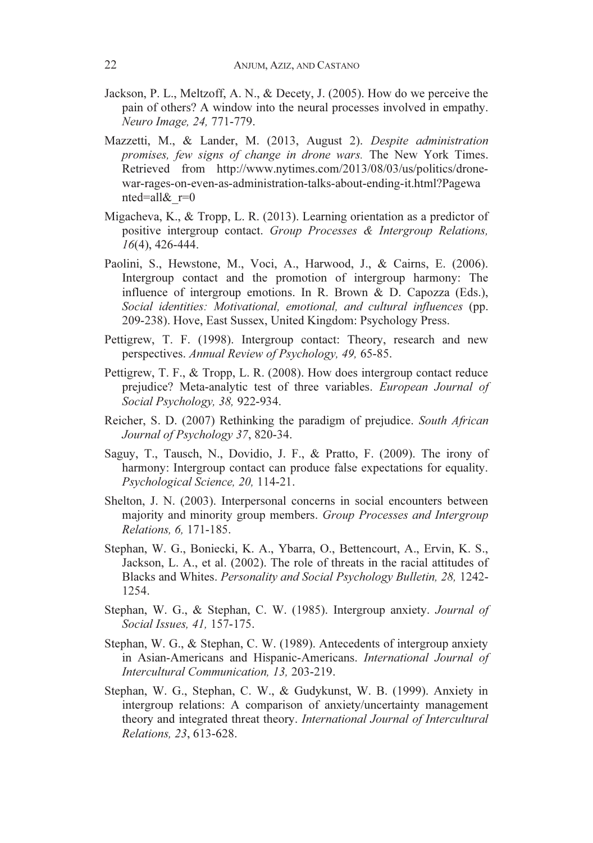- Jackson, P. L., Meltzoff, A. N., & Decety, J. (2005). How do we perceive the pain of others? A window into the neural processes involved in empathy. Neuro Image, 24, 771-779.
- Mazzetti, M., & Lander, M. (2013, August 2). Despite administration promises, few signs of change in drone wars. The New York Times. Retrieved from http://www.nytimes.com/2013/08/03/us/politics/dronewar-rages-on-even-as-administration-talks-about-ending-it.html?Pagewa nted=all $&r=0$
- Migacheva, K., & Tropp, L. R. (2013). Learning orientation as a predictor of positive intergroup contact. Group Processes & Intergroup Relations, 16(4), 426-444.
- Paolini, S., Hewstone, M., Voci, A., Harwood, J., & Cairns, E. (2006). Intergroup contact and the promotion of intergroup harmony: The influence of intergroup emotions. In R. Brown & D. Capozza (Eds.), Social identities: Motivational, emotional, and cultural influences (pp. 209-238). Hove, East Sussex, United Kingdom: Psychology Press.
- Pettigrew, T. F. (1998). Intergroup contact: Theory, research and new perspectives. Annual Review of Psychology, 49, 65-85.
- Pettigrew, T. F., & Tropp, L. R. (2008). How does intergroup contact reduce prejudice? Meta-analytic test of three variables. European Journal of Social Psychology, 38, 922-934.
- Reicher, S. D. (2007) Rethinking the paradigm of prejudice. South African Journal of Psychology 37, 820-34.
- Saguy, T., Tausch, N., Dovidio, J. F., & Pratto, F. (2009). The irony of harmony: Intergroup contact can produce false expectations for equality. Psychological Science, 20, 114-21.
- Shelton, J. N. (2003). Interpersonal concerns in social encounters between majority and minority group members. Group Processes and Intergroup Relations, 6, 171-185.
- Stephan, W. G., Boniecki, K. A., Ybarra, O., Bettencourt, A., Ervin, K. S., Jackson, L. A., et al. (2002). The role of threats in the racial attitudes of Blacks and Whites. Personality and Social Psychology Bulletin, 28, 1242- 1254.
- Stephan, W. G., & Stephan, C. W. (1985). Intergroup anxiety. Journal of Social Issues, 41, 157-175.
- Stephan, W. G., & Stephan, C. W. (1989). Antecedents of intergroup anxiety in Asian-Americans and Hispanic-Americans. International Journal of Intercultural Communication, 13, 203-219.
- Stephan, W. G., Stephan, C. W., & Gudykunst, W. B. (1999). Anxiety in intergroup relations: A comparison of anxiety/uncertainty management theory and integrated threat theory. International Journal of Intercultural Relations, 23, 613-628.